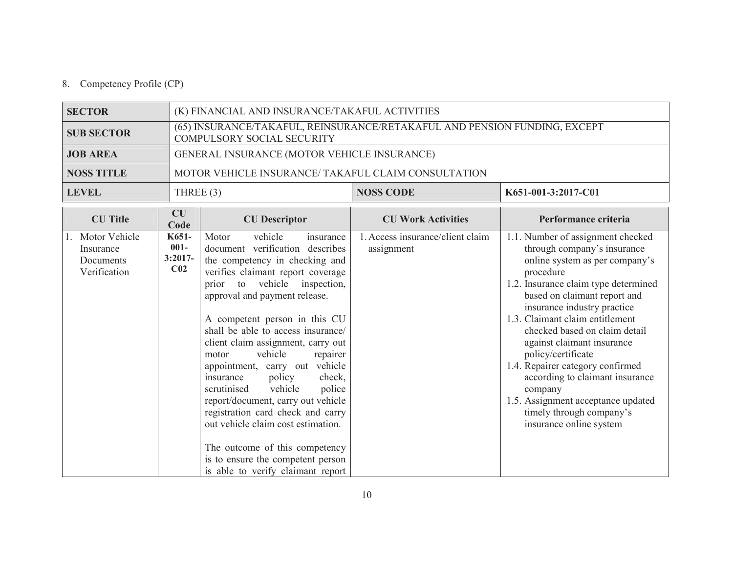## 8. Competency Profile (CP)

| <b>SECTOR</b>                                              |                                                  | (K) FINANCIAL AND INSURANCE/TAKAFUL ACTIVITIES                                                                                                                                                                                                                                                                                                                                                                                                                                                                                                                                                                                                                                                     |                                                |                                                                                                                                                                                                                                                                                                                                                                                                                                                                                                                               |  |  |
|------------------------------------------------------------|--------------------------------------------------|----------------------------------------------------------------------------------------------------------------------------------------------------------------------------------------------------------------------------------------------------------------------------------------------------------------------------------------------------------------------------------------------------------------------------------------------------------------------------------------------------------------------------------------------------------------------------------------------------------------------------------------------------------------------------------------------------|------------------------------------------------|-------------------------------------------------------------------------------------------------------------------------------------------------------------------------------------------------------------------------------------------------------------------------------------------------------------------------------------------------------------------------------------------------------------------------------------------------------------------------------------------------------------------------------|--|--|
| <b>SUB SECTOR</b>                                          |                                                  | (65) INSURANCE/TAKAFUL, REINSURANCE/RETAKAFUL AND PENSION FUNDING, EXCEPT<br><b>COMPULSORY SOCIAL SECURITY</b>                                                                                                                                                                                                                                                                                                                                                                                                                                                                                                                                                                                     |                                                |                                                                                                                                                                                                                                                                                                                                                                                                                                                                                                                               |  |  |
| <b>JOB AREA</b>                                            |                                                  | GENERAL INSURANCE (MOTOR VEHICLE INSURANCE)                                                                                                                                                                                                                                                                                                                                                                                                                                                                                                                                                                                                                                                        |                                                |                                                                                                                                                                                                                                                                                                                                                                                                                                                                                                                               |  |  |
| <b>NOSS TITLE</b>                                          |                                                  | MOTOR VEHICLE INSURANCE/ TAKAFUL CLAIM CONSULTATION                                                                                                                                                                                                                                                                                                                                                                                                                                                                                                                                                                                                                                                |                                                |                                                                                                                                                                                                                                                                                                                                                                                                                                                                                                                               |  |  |
| <b>LEVEL</b>                                               | THREE $(3)$                                      |                                                                                                                                                                                                                                                                                                                                                                                                                                                                                                                                                                                                                                                                                                    | <b>NOSS CODE</b>                               | K651-001-3:2017-C01                                                                                                                                                                                                                                                                                                                                                                                                                                                                                                           |  |  |
| <b>CU</b> Title                                            | <b>CU</b><br>Code                                | <b>CU</b> Descriptor                                                                                                                                                                                                                                                                                                                                                                                                                                                                                                                                                                                                                                                                               | <b>CU Work Activities</b>                      | Performance criteria                                                                                                                                                                                                                                                                                                                                                                                                                                                                                                          |  |  |
| 1. Motor Vehicle<br>Insurance<br>Documents<br>Verification | K651-<br>$001 -$<br>$3:2017-$<br>C <sub>02</sub> | vehicle<br>Motor<br>insurance<br>document verification describes<br>the competency in checking and<br>verifies claimant report coverage<br>vehicle<br>inspection,<br>to<br>prior<br>approval and payment release.<br>A competent person in this CU<br>shall be able to access insurance/<br>client claim assignment, carry out<br>vehicle<br>repairer<br>motor<br>appointment, carry out vehicle<br>policy<br>check,<br>insurance<br>vehicle<br>scrutinised<br>police<br>report/document, carry out vehicle<br>registration card check and carry<br>out vehicle claim cost estimation.<br>The outcome of this competency<br>is to ensure the competent person<br>is able to verify claimant report | 1. Access insurance/client claim<br>assignment | 1.1. Number of assignment checked<br>through company's insurance<br>online system as per company's<br>procedure<br>1.2. Insurance claim type determined<br>based on claimant report and<br>insurance industry practice<br>1.3. Claimant claim entitlement<br>checked based on claim detail<br>against claimant insurance<br>policy/certificate<br>1.4. Repairer category confirmed<br>according to claimant insurance<br>company<br>1.5. Assignment acceptance updated<br>timely through company's<br>insurance online system |  |  |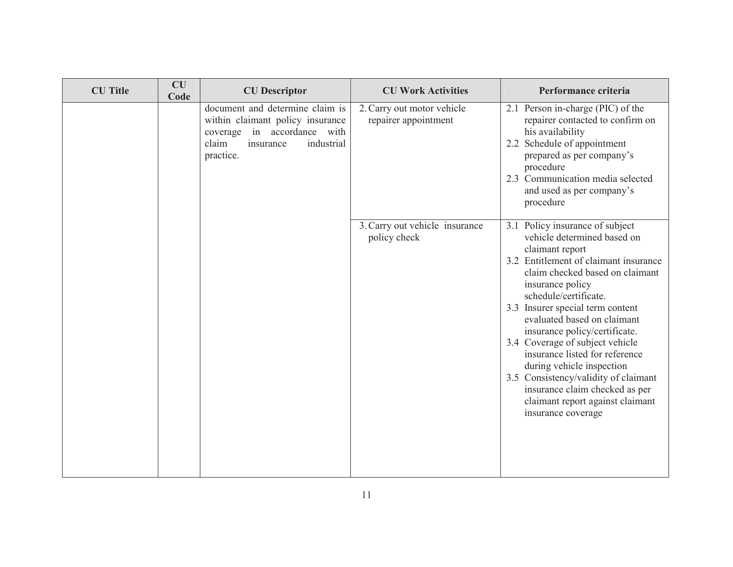| <b>CU</b> Title | <b>CU</b><br>Code | <b>CU</b> Descriptor                                                                                                                                | <b>CU Work Activities</b>                          | Performance criteria                                                                                                                                                                                                                                                                                                                                                                                                                                                                                                                                 |
|-----------------|-------------------|-----------------------------------------------------------------------------------------------------------------------------------------------------|----------------------------------------------------|------------------------------------------------------------------------------------------------------------------------------------------------------------------------------------------------------------------------------------------------------------------------------------------------------------------------------------------------------------------------------------------------------------------------------------------------------------------------------------------------------------------------------------------------------|
|                 |                   | document and determine claim is<br>within claimant policy insurance<br>coverage in accordance with<br>claim<br>insurance<br>industrial<br>practice. | 2. Carry out motor vehicle<br>repairer appointment | 2.1 Person in-charge (PIC) of the<br>repairer contacted to confirm on<br>his availability<br>2.2 Schedule of appointment<br>prepared as per company's<br>procedure<br>2.3 Communication media selected<br>and used as per company's<br>procedure                                                                                                                                                                                                                                                                                                     |
|                 |                   |                                                                                                                                                     | 3. Carry out vehicle insurance<br>policy check     | 3.1 Policy insurance of subject<br>vehicle determined based on<br>claimant report<br>3.2 Entitlement of claimant insurance<br>claim checked based on claimant<br>insurance policy<br>schedule/certificate.<br>3.3 Insurer special term content<br>evaluated based on claimant<br>insurance policy/certificate.<br>3.4 Coverage of subject vehicle<br>insurance listed for reference<br>during vehicle inspection<br>3.5 Consistency/validity of claimant<br>insurance claim checked as per<br>claimant report against claimant<br>insurance coverage |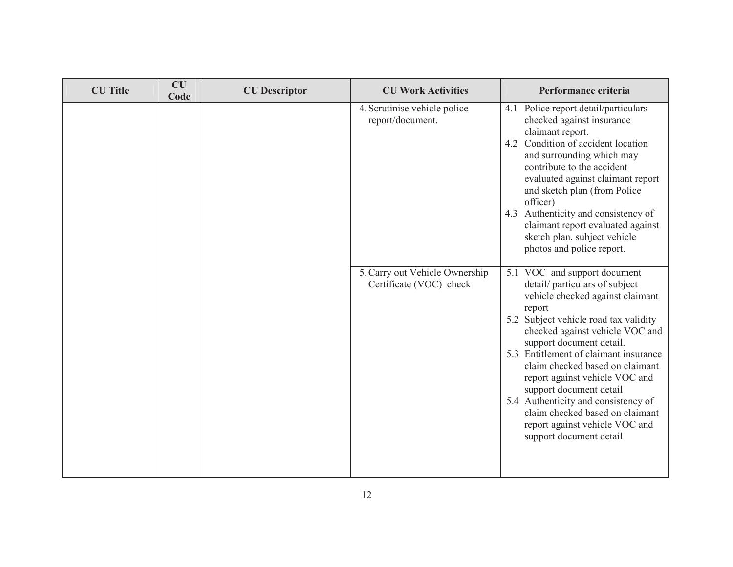| <b>CU</b> Title | CU<br>Code | <b>CU</b> Descriptor | <b>CU Work Activities</b>                                 | Performance criteria                                                                                                                                                                                                                                                    |
|-----------------|------------|----------------------|-----------------------------------------------------------|-------------------------------------------------------------------------------------------------------------------------------------------------------------------------------------------------------------------------------------------------------------------------|
|                 |            |                      | 4. Scrutinise vehicle police<br>report/document.          | 4.1 Police report detail/particulars<br>checked against insurance<br>claimant report.<br>4.2 Condition of accident location<br>and surrounding which may<br>contribute to the accident<br>evaluated against claimant report<br>and sketch plan (from Police<br>officer) |
|                 |            |                      |                                                           | 4.3 Authenticity and consistency of<br>claimant report evaluated against<br>sketch plan, subject vehicle<br>photos and police report.                                                                                                                                   |
|                 |            |                      | 5. Carry out Vehicle Ownership<br>Certificate (VOC) check | 5.1 VOC and support document<br>detail/particulars of subject<br>vehicle checked against claimant<br>report                                                                                                                                                             |
|                 |            |                      |                                                           | 5.2 Subject vehicle road tax validity<br>checked against vehicle VOC and<br>support document detail.                                                                                                                                                                    |
|                 |            |                      |                                                           | 5.3 Entitlement of claimant insurance<br>claim checked based on claimant<br>report against vehicle VOC and<br>support document detail                                                                                                                                   |
|                 |            |                      |                                                           | 5.4 Authenticity and consistency of<br>claim checked based on claimant<br>report against vehicle VOC and<br>support document detail                                                                                                                                     |
|                 |            |                      |                                                           |                                                                                                                                                                                                                                                                         |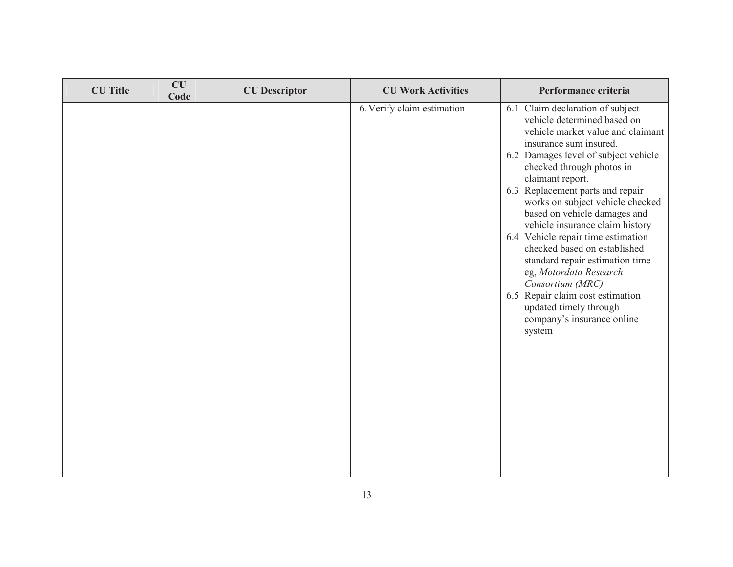| <b>CU</b> Title | CU<br>Code | <b>CU</b> Descriptor | <b>CU Work Activities</b>  | Performance criteria                                                                                                                                                                                                                                                                                                                                                                                                                                                                                                                                                                                                            |
|-----------------|------------|----------------------|----------------------------|---------------------------------------------------------------------------------------------------------------------------------------------------------------------------------------------------------------------------------------------------------------------------------------------------------------------------------------------------------------------------------------------------------------------------------------------------------------------------------------------------------------------------------------------------------------------------------------------------------------------------------|
|                 |            |                      | 6. Verify claim estimation | 6.1 Claim declaration of subject<br>vehicle determined based on<br>vehicle market value and claimant<br>insurance sum insured.<br>6.2 Damages level of subject vehicle<br>checked through photos in<br>claimant report.<br>6.3 Replacement parts and repair<br>works on subject vehicle checked<br>based on vehicle damages and<br>vehicle insurance claim history<br>6.4 Vehicle repair time estimation<br>checked based on established<br>standard repair estimation time<br>eg, Motordata Research<br>Consortium (MRC)<br>6.5 Repair claim cost estimation<br>updated timely through<br>company's insurance online<br>system |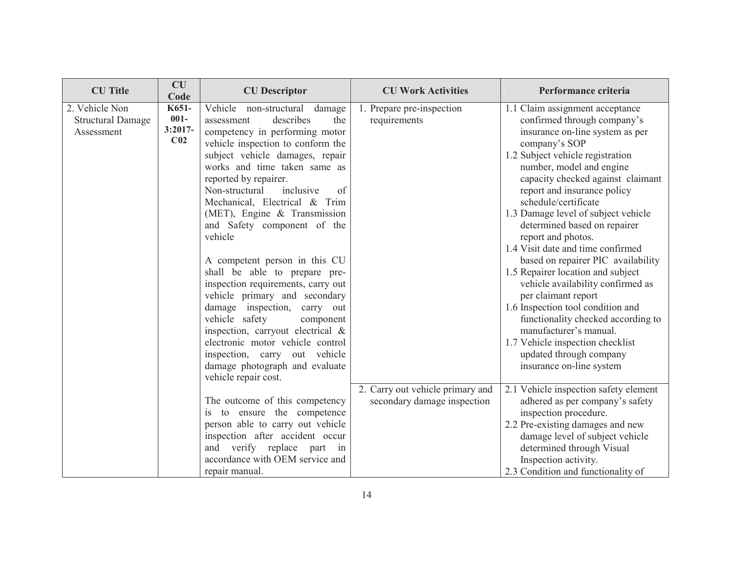| <b>CU</b> Title                                          | <b>CU</b><br>Code                                | <b>CU</b> Descriptor                                                                                                                                                                                                                                                                                                                                                                                                                                                                                                                                                                                                                                                                                                                           | <b>CU Work Activities</b>                                       | Performance criteria                                                                                                                                                                                                                                                                                                                                                                                                                                                                                                                                                                                                                                                                                                                                    |
|----------------------------------------------------------|--------------------------------------------------|------------------------------------------------------------------------------------------------------------------------------------------------------------------------------------------------------------------------------------------------------------------------------------------------------------------------------------------------------------------------------------------------------------------------------------------------------------------------------------------------------------------------------------------------------------------------------------------------------------------------------------------------------------------------------------------------------------------------------------------------|-----------------------------------------------------------------|---------------------------------------------------------------------------------------------------------------------------------------------------------------------------------------------------------------------------------------------------------------------------------------------------------------------------------------------------------------------------------------------------------------------------------------------------------------------------------------------------------------------------------------------------------------------------------------------------------------------------------------------------------------------------------------------------------------------------------------------------------|
| 2. Vehicle Non<br><b>Structural Damage</b><br>Assessment | K651-<br>$001 -$<br>$3:2017-$<br>C <sub>02</sub> | Vehicle non-structural<br>damage<br>describes<br>the<br>assessment<br>competency in performing motor<br>vehicle inspection to conform the<br>subject vehicle damages, repair<br>works and time taken same as<br>reported by repairer.<br>Non-structural<br>inclusive<br>of<br>Mechanical, Electrical & Trim<br>(MET), Engine $&$ Transmission<br>and Safety component of the<br>vehicle<br>A competent person in this CU<br>shall be able to prepare pre-<br>inspection requirements, carry out<br>vehicle primary and secondary<br>damage inspection,<br>carry out<br>vehicle safety<br>component<br>inspection, carryout electrical &<br>electronic motor vehicle control<br>inspection, carry out vehicle<br>damage photograph and evaluate | 1. Prepare pre-inspection<br>requirements                       | 1.1 Claim assignment acceptance<br>confirmed through company's<br>insurance on-line system as per<br>company's SOP<br>1.2 Subject vehicle registration<br>number, model and engine<br>capacity checked against claimant<br>report and insurance policy<br>schedule/certificate<br>1.3 Damage level of subject vehicle<br>determined based on repairer<br>report and photos.<br>1.4 Visit date and time confirmed<br>based on repairer PIC availability<br>1.5 Repairer location and subject<br>vehicle availability confirmed as<br>per claimant report<br>1.6 Inspection tool condition and<br>functionality checked according to<br>manufacturer's manual.<br>1.7 Vehicle inspection checklist<br>updated through company<br>insurance on-line system |
|                                                          |                                                  | vehicle repair cost.<br>The outcome of this competency<br>is to ensure the competence<br>person able to carry out vehicle<br>inspection after accident occur<br>verify replace<br>and<br>part in<br>accordance with OEM service and<br>repair manual.                                                                                                                                                                                                                                                                                                                                                                                                                                                                                          | 2. Carry out vehicle primary and<br>secondary damage inspection | 2.1 Vehicle inspection safety element<br>adhered as per company's safety<br>inspection procedure.<br>2.2 Pre-existing damages and new<br>damage level of subject vehicle<br>determined through Visual<br>Inspection activity.<br>2.3 Condition and functionality of                                                                                                                                                                                                                                                                                                                                                                                                                                                                                     |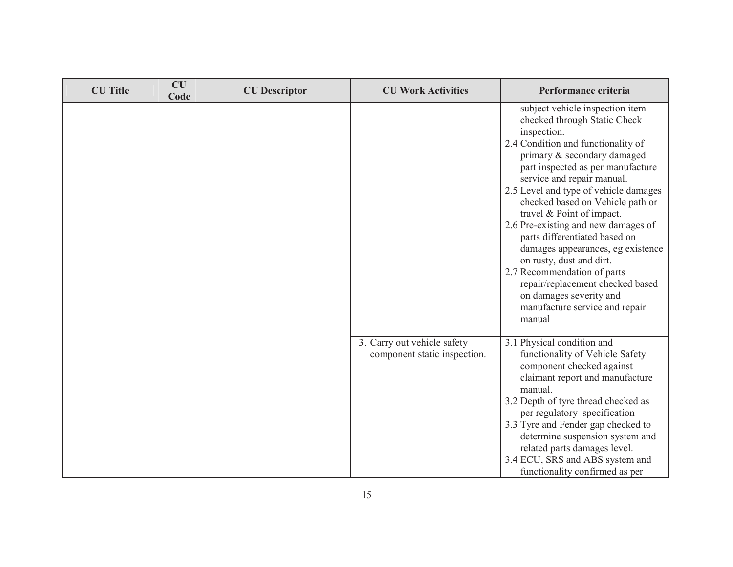| <b>CU</b> Title | <b>CU</b><br>Code | <b>CU</b> Descriptor | <b>CU Work Activities</b>                                   | Performance criteria                                                                                                                                                                                                                                                                                                                                                                                                                                                                                                                                                                                                |
|-----------------|-------------------|----------------------|-------------------------------------------------------------|---------------------------------------------------------------------------------------------------------------------------------------------------------------------------------------------------------------------------------------------------------------------------------------------------------------------------------------------------------------------------------------------------------------------------------------------------------------------------------------------------------------------------------------------------------------------------------------------------------------------|
|                 |                   |                      |                                                             | subject vehicle inspection item<br>checked through Static Check<br>inspection.<br>2.4 Condition and functionality of<br>primary & secondary damaged<br>part inspected as per manufacture<br>service and repair manual.<br>2.5 Level and type of vehicle damages<br>checked based on Vehicle path or<br>travel & Point of impact.<br>2.6 Pre-existing and new damages of<br>parts differentiated based on<br>damages appearances, eg existence<br>on rusty, dust and dirt.<br>2.7 Recommendation of parts<br>repair/replacement checked based<br>on damages severity and<br>manufacture service and repair<br>manual |
|                 |                   |                      | 3. Carry out vehicle safety<br>component static inspection. | 3.1 Physical condition and<br>functionality of Vehicle Safety<br>component checked against<br>claimant report and manufacture<br>manual.<br>3.2 Depth of tyre thread checked as<br>per regulatory specification<br>3.3 Tyre and Fender gap checked to<br>determine suspension system and<br>related parts damages level.<br>3.4 ECU, SRS and ABS system and<br>functionality confirmed as per                                                                                                                                                                                                                       |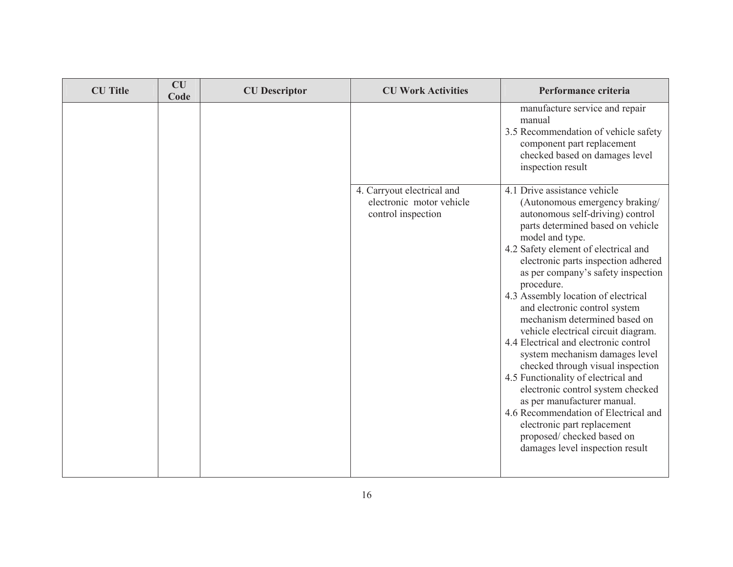| <b>CU</b> Title | CU<br>Code | <b>CU</b> Descriptor | <b>CU Work Activities</b>                                                    | Performance criteria                                                                                                                                                                                                                                                                                                                                                                                                                                                                                                                                                                                                                                                                                                                                                                                             |
|-----------------|------------|----------------------|------------------------------------------------------------------------------|------------------------------------------------------------------------------------------------------------------------------------------------------------------------------------------------------------------------------------------------------------------------------------------------------------------------------------------------------------------------------------------------------------------------------------------------------------------------------------------------------------------------------------------------------------------------------------------------------------------------------------------------------------------------------------------------------------------------------------------------------------------------------------------------------------------|
|                 |            |                      |                                                                              | manufacture service and repair<br>manual<br>3.5 Recommendation of vehicle safety<br>component part replacement<br>checked based on damages level<br>inspection result                                                                                                                                                                                                                                                                                                                                                                                                                                                                                                                                                                                                                                            |
|                 |            |                      | 4. Carryout electrical and<br>electronic motor vehicle<br>control inspection | 4.1 Drive assistance vehicle<br>(Autonomous emergency braking/<br>autonomous self-driving) control<br>parts determined based on vehicle<br>model and type.<br>4.2 Safety element of electrical and<br>electronic parts inspection adhered<br>as per company's safety inspection<br>procedure.<br>4.3 Assembly location of electrical<br>and electronic control system<br>mechanism determined based on<br>vehicle electrical circuit diagram.<br>4.4 Electrical and electronic control<br>system mechanism damages level<br>checked through visual inspection<br>4.5 Functionality of electrical and<br>electronic control system checked<br>as per manufacturer manual.<br>4.6 Recommendation of Electrical and<br>electronic part replacement<br>proposed/ checked based on<br>damages level inspection result |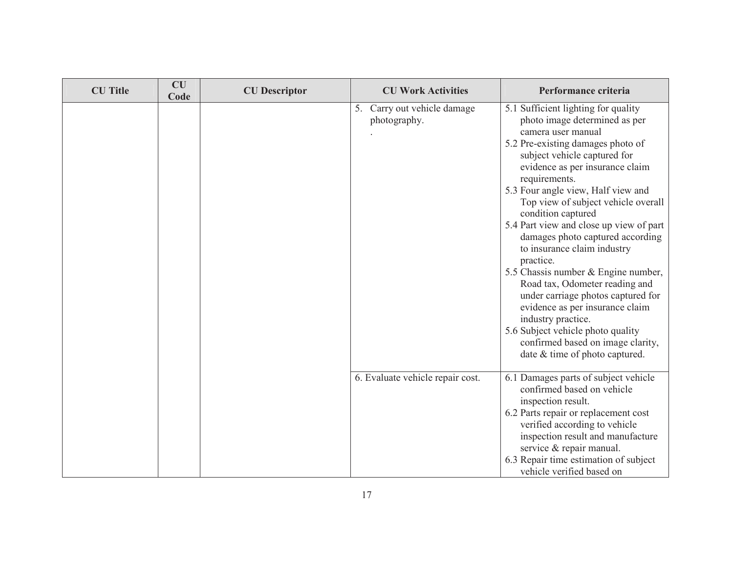| <b>CU</b> Title | CU<br>Code | <b>CU</b> Descriptor | <b>CU Work Activities</b>                   | Performance criteria                                                                                                                                                                                                                                                                                                                                                                                                                                                                                                                                                                                                                                                                                                                  |
|-----------------|------------|----------------------|---------------------------------------------|---------------------------------------------------------------------------------------------------------------------------------------------------------------------------------------------------------------------------------------------------------------------------------------------------------------------------------------------------------------------------------------------------------------------------------------------------------------------------------------------------------------------------------------------------------------------------------------------------------------------------------------------------------------------------------------------------------------------------------------|
|                 |            |                      | 5. Carry out vehicle damage<br>photography. | 5.1 Sufficient lighting for quality<br>photo image determined as per<br>camera user manual<br>5.2 Pre-existing damages photo of<br>subject vehicle captured for<br>evidence as per insurance claim<br>requirements.<br>5.3 Four angle view, Half view and<br>Top view of subject vehicle overall<br>condition captured<br>5.4 Part view and close up view of part<br>damages photo captured according<br>to insurance claim industry<br>practice.<br>5.5 Chassis number & Engine number,<br>Road tax, Odometer reading and<br>under carriage photos captured for<br>evidence as per insurance claim<br>industry practice.<br>5.6 Subject vehicle photo quality<br>confirmed based on image clarity,<br>date & time of photo captured. |
|                 |            |                      | 6. Evaluate vehicle repair cost.            | 6.1 Damages parts of subject vehicle<br>confirmed based on vehicle<br>inspection result.<br>6.2 Parts repair or replacement cost<br>verified according to vehicle<br>inspection result and manufacture<br>service & repair manual.<br>6.3 Repair time estimation of subject<br>vehicle verified based on                                                                                                                                                                                                                                                                                                                                                                                                                              |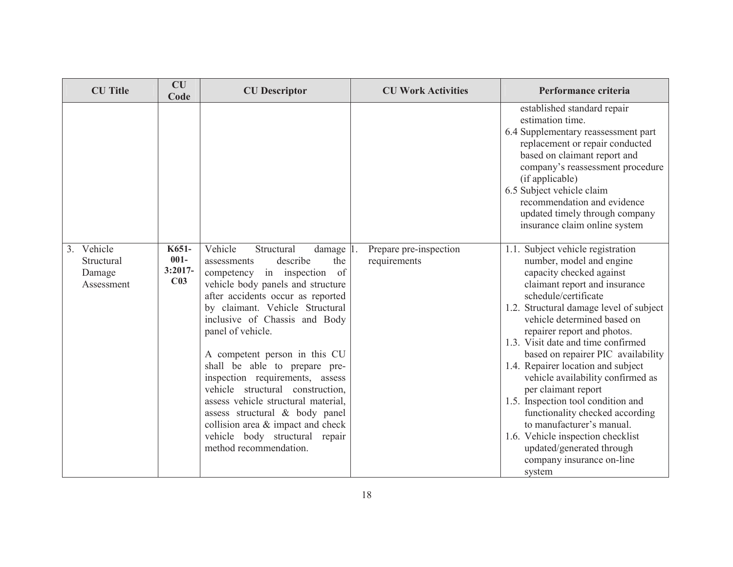| <b>CU</b> Title                                  | <b>CU</b><br>Code                                | <b>CU</b> Descriptor                                                                                                                                                                                                                                                                                                                                                                                                                                                                                                                                                                            | <b>CU Work Activities</b>              | Performance criteria                                                                                                                                                                                                                                                                                                                                                                                                                                                                                                                                                                                                                                     |
|--------------------------------------------------|--------------------------------------------------|-------------------------------------------------------------------------------------------------------------------------------------------------------------------------------------------------------------------------------------------------------------------------------------------------------------------------------------------------------------------------------------------------------------------------------------------------------------------------------------------------------------------------------------------------------------------------------------------------|----------------------------------------|----------------------------------------------------------------------------------------------------------------------------------------------------------------------------------------------------------------------------------------------------------------------------------------------------------------------------------------------------------------------------------------------------------------------------------------------------------------------------------------------------------------------------------------------------------------------------------------------------------------------------------------------------------|
|                                                  |                                                  |                                                                                                                                                                                                                                                                                                                                                                                                                                                                                                                                                                                                 |                                        | established standard repair<br>estimation time.<br>6.4 Supplementary reassessment part<br>replacement or repair conducted<br>based on claimant report and<br>company's reassessment procedure<br>(if applicable)<br>6.5 Subject vehicle claim<br>recommendation and evidence<br>updated timely through company<br>insurance claim online system                                                                                                                                                                                                                                                                                                          |
| 3. Vehicle<br>Structural<br>Damage<br>Assessment | K651-<br>$001 -$<br>$3:2017-$<br>C <sub>03</sub> | Vehicle<br>Structural<br>damage 1.<br>describe<br>the<br>assessments<br>of<br>in inspection<br>competency<br>vehicle body panels and structure<br>after accidents occur as reported<br>by claimant. Vehicle Structural<br>inclusive of Chassis and Body<br>panel of vehicle.<br>A competent person in this CU<br>shall be able to prepare pre-<br>inspection requirements, assess<br>vehicle structural construction,<br>assess vehicle structural material,<br>assess structural & body panel<br>collision area & impact and check<br>vehicle body structural repair<br>method recommendation. | Prepare pre-inspection<br>requirements | 1.1. Subject vehicle registration<br>number, model and engine<br>capacity checked against<br>claimant report and insurance<br>schedule/certificate<br>1.2. Structural damage level of subject<br>vehicle determined based on<br>repairer report and photos.<br>1.3. Visit date and time confirmed<br>based on repairer PIC availability<br>1.4. Repairer location and subject<br>vehicle availability confirmed as<br>per claimant report<br>1.5. Inspection tool condition and<br>functionality checked according<br>to manufacturer's manual.<br>1.6. Vehicle inspection checklist<br>updated/generated through<br>company insurance on-line<br>system |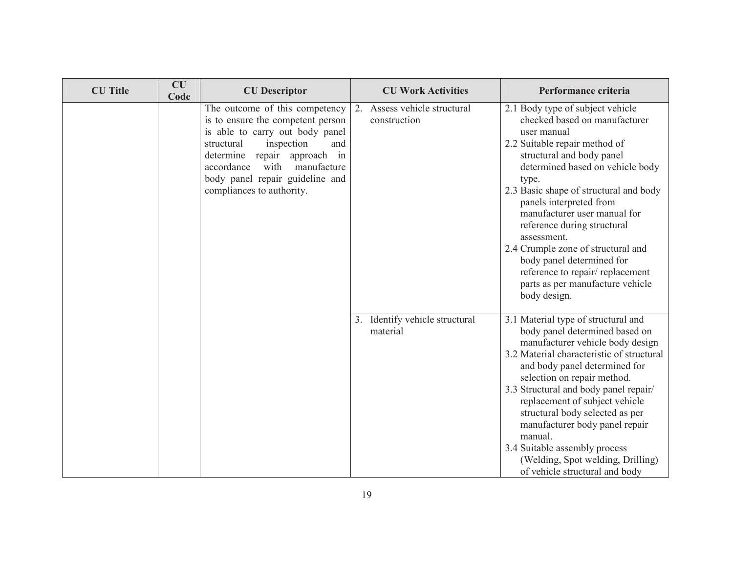| <b>CU</b> Title | CU<br>Code | <b>CU</b> Descriptor                                                                                                                                                                                                                                                              | <b>CU Work Activities</b>                    | Performance criteria                                                                                                                                                                                                                                                                                                                                                                                                                                                                                     |
|-----------------|------------|-----------------------------------------------------------------------------------------------------------------------------------------------------------------------------------------------------------------------------------------------------------------------------------|----------------------------------------------|----------------------------------------------------------------------------------------------------------------------------------------------------------------------------------------------------------------------------------------------------------------------------------------------------------------------------------------------------------------------------------------------------------------------------------------------------------------------------------------------------------|
|                 |            | The outcome of this competency<br>is to ensure the competent person<br>is able to carry out body panel<br>inspection<br>structural<br>and<br>determine<br>repair approach in<br>accordance<br>with<br>manufacture<br>body panel repair guideline and<br>compliances to authority. | 2. Assess vehicle structural<br>construction | 2.1 Body type of subject vehicle<br>checked based on manufacturer<br>user manual<br>2.2 Suitable repair method of<br>structural and body panel<br>determined based on vehicle body<br>type.<br>2.3 Basic shape of structural and body<br>panels interpreted from<br>manufacturer user manual for<br>reference during structural<br>assessment.<br>2.4 Crumple zone of structural and<br>body panel determined for<br>reference to repair/replacement<br>parts as per manufacture vehicle<br>body design. |
|                 |            |                                                                                                                                                                                                                                                                                   | 3. Identify vehicle structural<br>material   | 3.1 Material type of structural and<br>body panel determined based on<br>manufacturer vehicle body design<br>3.2 Material characteristic of structural<br>and body panel determined for<br>selection on repair method.<br>3.3 Structural and body panel repair/<br>replacement of subject vehicle<br>structural body selected as per<br>manufacturer body panel repair<br>manual.<br>3.4 Suitable assembly process<br>(Welding, Spot welding, Drilling)<br>of vehicle structural and body                |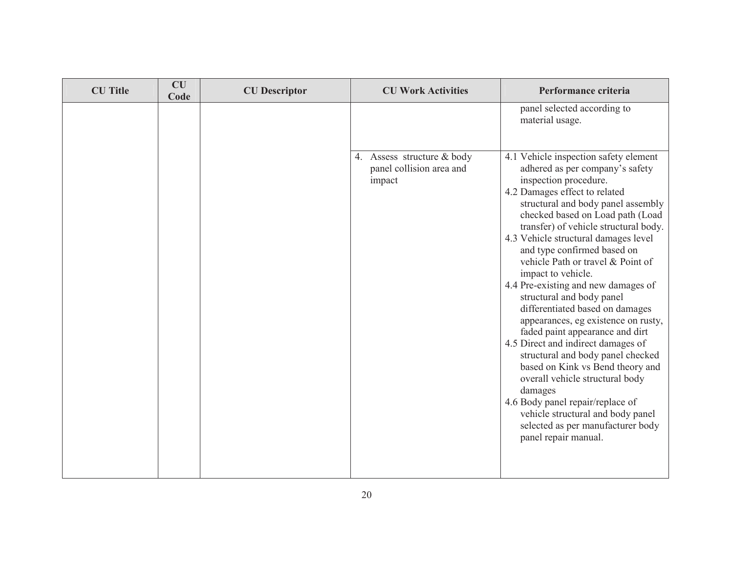| <b>CU</b> Title | CU<br>Code | <b>CU</b> Descriptor | <b>CU Work Activities</b>                                        | Performance criteria                                                                                                                                                                                                                                                                                                                                                                                                                                                                                                                                                                                                                                                                                                                                                                                                                                                        |
|-----------------|------------|----------------------|------------------------------------------------------------------|-----------------------------------------------------------------------------------------------------------------------------------------------------------------------------------------------------------------------------------------------------------------------------------------------------------------------------------------------------------------------------------------------------------------------------------------------------------------------------------------------------------------------------------------------------------------------------------------------------------------------------------------------------------------------------------------------------------------------------------------------------------------------------------------------------------------------------------------------------------------------------|
|                 |            |                      |                                                                  | panel selected according to<br>material usage.                                                                                                                                                                                                                                                                                                                                                                                                                                                                                                                                                                                                                                                                                                                                                                                                                              |
|                 |            |                      | 4. Assess structure & body<br>panel collision area and<br>impact | 4.1 Vehicle inspection safety element<br>adhered as per company's safety<br>inspection procedure.<br>4.2 Damages effect to related<br>structural and body panel assembly<br>checked based on Load path (Load<br>transfer) of vehicle structural body.<br>4.3 Vehicle structural damages level<br>and type confirmed based on<br>vehicle Path or travel & Point of<br>impact to vehicle.<br>4.4 Pre-existing and new damages of<br>structural and body panel<br>differentiated based on damages<br>appearances, eg existence on rusty,<br>faded paint appearance and dirt<br>4.5 Direct and indirect damages of<br>structural and body panel checked<br>based on Kink vs Bend theory and<br>overall vehicle structural body<br>damages<br>4.6 Body panel repair/replace of<br>vehicle structural and body panel<br>selected as per manufacturer body<br>panel repair manual. |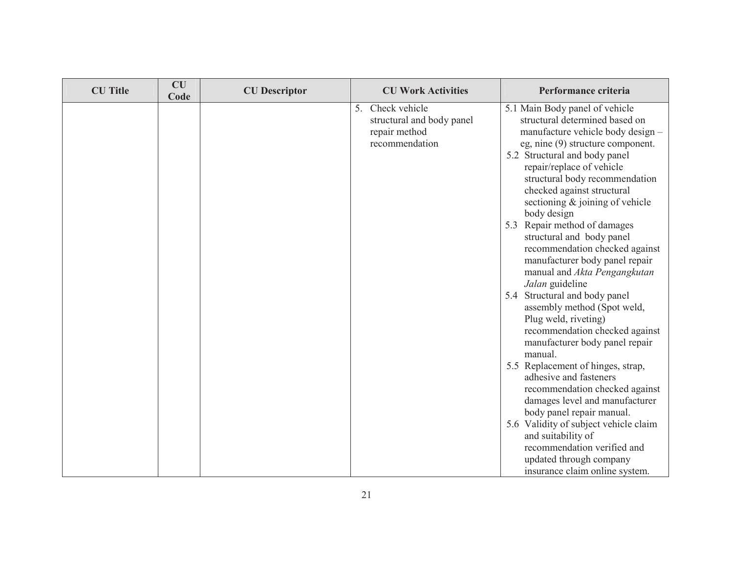| <b>CU</b> Title | <b>CU</b><br>Code | <b>CU</b> Descriptor | <b>CU Work Activities</b>                                                        | Performance criteria                                                                                                                                                                                                                                                                                                                                                                                                                                                                                                                                                                                                                                                          |
|-----------------|-------------------|----------------------|----------------------------------------------------------------------------------|-------------------------------------------------------------------------------------------------------------------------------------------------------------------------------------------------------------------------------------------------------------------------------------------------------------------------------------------------------------------------------------------------------------------------------------------------------------------------------------------------------------------------------------------------------------------------------------------------------------------------------------------------------------------------------|
|                 |                   |                      | 5. Check vehicle<br>structural and body panel<br>repair method<br>recommendation | 5.1 Main Body panel of vehicle<br>structural determined based on<br>manufacture vehicle body design -<br>eg, nine (9) structure component.<br>5.2 Structural and body panel<br>repair/replace of vehicle<br>structural body recommendation<br>checked against structural<br>sectioning $\&$ joining of vehicle<br>body design<br>5.3 Repair method of damages<br>structural and body panel<br>recommendation checked against<br>manufacturer body panel repair<br>manual and Akta Pengangkutan<br>Jalan guideline<br>5.4 Structural and body panel<br>assembly method (Spot weld,<br>Plug weld, riveting)<br>recommendation checked against<br>manufacturer body panel repair |
|                 |                   |                      |                                                                                  | manual.<br>5.5 Replacement of hinges, strap,<br>adhesive and fasteners<br>recommendation checked against<br>damages level and manufacturer<br>body panel repair manual.                                                                                                                                                                                                                                                                                                                                                                                                                                                                                                       |
|                 |                   |                      |                                                                                  | 5.6 Validity of subject vehicle claim<br>and suitability of<br>recommendation verified and<br>updated through company<br>insurance claim online system.                                                                                                                                                                                                                                                                                                                                                                                                                                                                                                                       |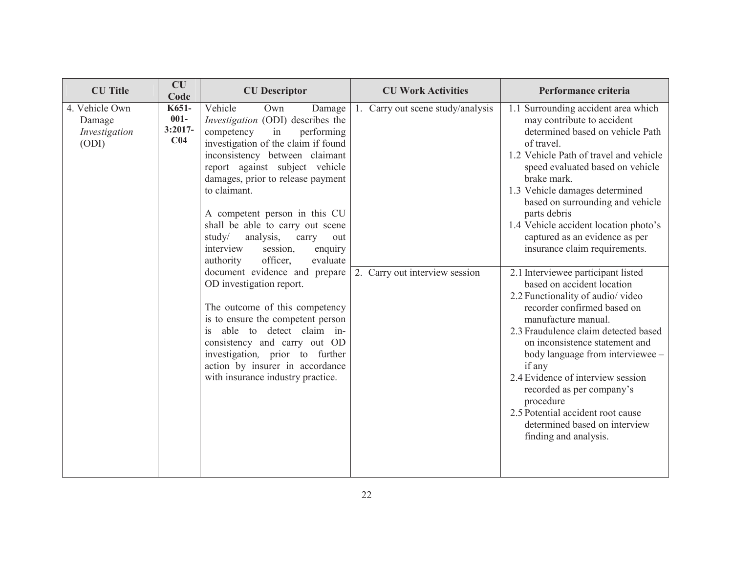| <b>CU</b> Title                                    | CU<br>Code                                       | <b>CU</b> Descriptor                                                                                                                                                                                                                                                                                                                                                                                                                                                                                                                                                                                                                                                                                                                                               | <b>CU Work Activities</b>                                           | Performance criteria                                                                                                                                                                                                                                                                                                                                                                                                                                                                                                                                                                                                                                                                                                                                                                                                                                                                   |
|----------------------------------------------------|--------------------------------------------------|--------------------------------------------------------------------------------------------------------------------------------------------------------------------------------------------------------------------------------------------------------------------------------------------------------------------------------------------------------------------------------------------------------------------------------------------------------------------------------------------------------------------------------------------------------------------------------------------------------------------------------------------------------------------------------------------------------------------------------------------------------------------|---------------------------------------------------------------------|----------------------------------------------------------------------------------------------------------------------------------------------------------------------------------------------------------------------------------------------------------------------------------------------------------------------------------------------------------------------------------------------------------------------------------------------------------------------------------------------------------------------------------------------------------------------------------------------------------------------------------------------------------------------------------------------------------------------------------------------------------------------------------------------------------------------------------------------------------------------------------------|
| 4. Vehicle Own<br>Damage<br>Investigation<br>(ODI) | K651-<br>$001 -$<br>$3:2017-$<br>C <sub>04</sub> | Vehicle<br>Own<br>Damage<br>Investigation (ODI) describes the<br>competency<br>performing<br>in<br>investigation of the claim if found<br>inconsistency between claimant<br>report against subject vehicle<br>damages, prior to release payment<br>to claimant.<br>A competent person in this CU<br>shall be able to carry out scene<br>study/<br>analysis,<br>carry<br>out<br>interview<br>session,<br>enquiry<br>officer,<br>evaluate<br>authority<br>document evidence and prepare<br>OD investigation report.<br>The outcome of this competency<br>is to ensure the competent person<br>is able to detect claim in-<br>consistency and carry out OD<br>investigation, prior to further<br>action by insurer in accordance<br>with insurance industry practice. | 1. Carry out scene study/analysis<br>2. Carry out interview session | 1.1 Surrounding accident area which<br>may contribute to accident<br>determined based on vehicle Path<br>of travel.<br>1.2 Vehicle Path of travel and vehicle<br>speed evaluated based on vehicle<br>brake mark.<br>1.3 Vehicle damages determined<br>based on surrounding and vehicle<br>parts debris<br>1.4 Vehicle accident location photo's<br>captured as an evidence as per<br>insurance claim requirements.<br>2.1 Interviewee participant listed<br>based on accident location<br>2.2 Functionality of audio/video<br>recorder confirmed based on<br>manufacture manual.<br>2.3 Fraudulence claim detected based<br>on inconsistence statement and<br>body language from interviewee -<br>if any<br>2.4 Evidence of interview session<br>recorded as per company's<br>procedure<br>2.5 Potential accident root cause<br>determined based on interview<br>finding and analysis. |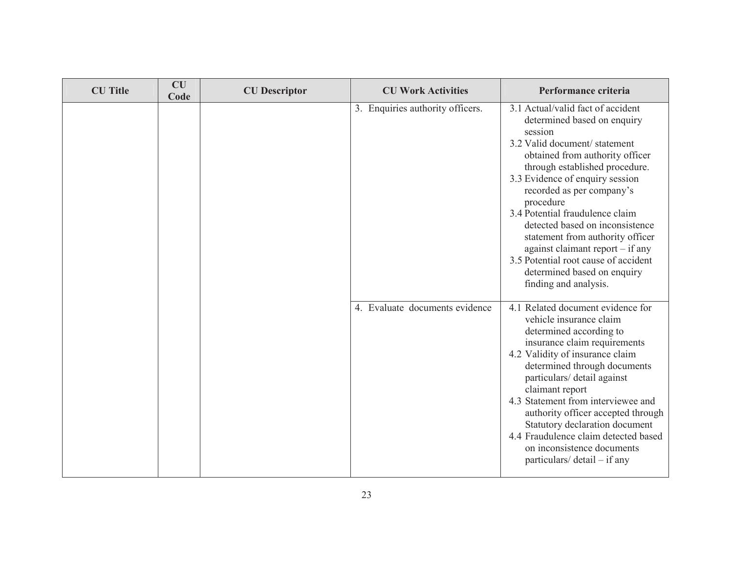| <b>CU</b> Title | CU<br>Code | <b>CU</b> Descriptor | <b>CU Work Activities</b>        | Performance criteria                                                                                                                                                                                                                                                                                                                                                                                                                                                                                          |
|-----------------|------------|----------------------|----------------------------------|---------------------------------------------------------------------------------------------------------------------------------------------------------------------------------------------------------------------------------------------------------------------------------------------------------------------------------------------------------------------------------------------------------------------------------------------------------------------------------------------------------------|
|                 |            |                      | 3. Enquiries authority officers. | 3.1 Actual/valid fact of accident<br>determined based on enquiry<br>session<br>3.2 Valid document/statement<br>obtained from authority officer<br>through established procedure.<br>3.3 Evidence of enquiry session<br>recorded as per company's<br>procedure<br>3.4 Potential fraudulence claim<br>detected based on inconsistence<br>statement from authority officer<br>against claimant report $-$ if any<br>3.5 Potential root cause of accident<br>determined based on enquiry<br>finding and analysis. |
|                 |            |                      | 4. Evaluate documents evidence   | 4.1 Related document evidence for<br>vehicle insurance claim<br>determined according to<br>insurance claim requirements<br>4.2 Validity of insurance claim<br>determined through documents<br>particulars/ detail against<br>claimant report<br>4.3 Statement from interviewee and<br>authority officer accepted through<br>Statutory declaration document<br>4.4 Fraudulence claim detected based<br>on inconsistence documents<br>particulars/ $\delta$ detail – if any                                     |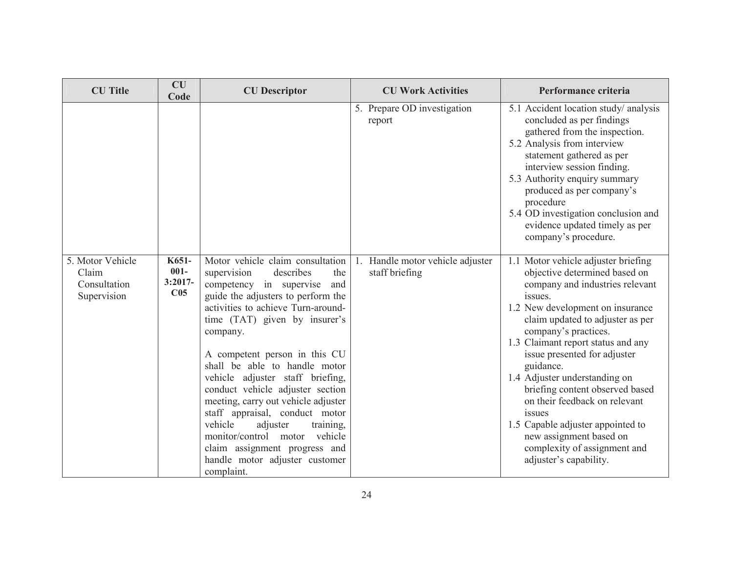| <b>CU</b> Title                                          | <b>CU</b><br>Code                                | <b>CU</b> Descriptor                                                                                                                                                                                                                                                                                                                                                                                                                                                                                                                                                                                    | <b>CU Work Activities</b>                             | Performance criteria                                                                                                                                                                                                                                                                                                                                                                                                                                                                                                                           |
|----------------------------------------------------------|--------------------------------------------------|---------------------------------------------------------------------------------------------------------------------------------------------------------------------------------------------------------------------------------------------------------------------------------------------------------------------------------------------------------------------------------------------------------------------------------------------------------------------------------------------------------------------------------------------------------------------------------------------------------|-------------------------------------------------------|------------------------------------------------------------------------------------------------------------------------------------------------------------------------------------------------------------------------------------------------------------------------------------------------------------------------------------------------------------------------------------------------------------------------------------------------------------------------------------------------------------------------------------------------|
|                                                          |                                                  |                                                                                                                                                                                                                                                                                                                                                                                                                                                                                                                                                                                                         | 5. Prepare OD investigation<br>report                 | 5.1 Accident location study/ analysis<br>concluded as per findings<br>gathered from the inspection.<br>5.2 Analysis from interview<br>statement gathered as per<br>interview session finding.<br>5.3 Authority enquiry summary<br>produced as per company's<br>procedure<br>5.4 OD investigation conclusion and<br>evidence updated timely as per<br>company's procedure.                                                                                                                                                                      |
| 5. Motor Vehicle<br>Claim<br>Consultation<br>Supervision | K651-<br>$001 -$<br>$3:2017-$<br>C <sub>05</sub> | Motor vehicle claim consultation<br>supervision<br>describes<br>the<br>competency in supervise<br>and<br>guide the adjusters to perform the<br>activities to achieve Turn-around-<br>time (TAT) given by insurer's<br>company.<br>A competent person in this CU<br>shall be able to handle motor<br>vehicle adjuster staff briefing,<br>conduct vehicle adjuster section<br>meeting, carry out vehicle adjuster<br>staff appraisal, conduct motor<br>vehicle<br>adjuster<br>training,<br>monitor/control motor vehicle<br>claim assignment progress and<br>handle motor adjuster customer<br>complaint. | Handle motor vehicle adjuster<br>1.<br>staff briefing | 1.1 Motor vehicle adjuster briefing<br>objective determined based on<br>company and industries relevant<br>issues.<br>1.2 New development on insurance<br>claim updated to adjuster as per<br>company's practices.<br>1.3 Claimant report status and any<br>issue presented for adjuster<br>guidance.<br>1.4 Adjuster understanding on<br>briefing content observed based<br>on their feedback on relevant<br>issues<br>1.5 Capable adjuster appointed to<br>new assignment based on<br>complexity of assignment and<br>adjuster's capability. |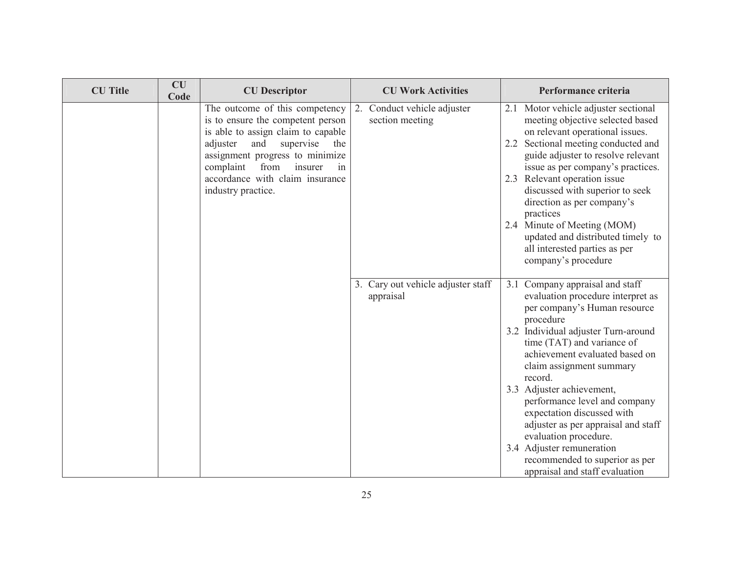| <b>CU</b> Title | CU<br>Code | <b>CU</b> Descriptor                                                                                                                                                                                                                                                               | <b>CU Work Activities</b>                       | Performance criteria                                                                                                                                                                                                                                                                                                                              |
|-----------------|------------|------------------------------------------------------------------------------------------------------------------------------------------------------------------------------------------------------------------------------------------------------------------------------------|-------------------------------------------------|---------------------------------------------------------------------------------------------------------------------------------------------------------------------------------------------------------------------------------------------------------------------------------------------------------------------------------------------------|
|                 |            | The outcome of this competency<br>is to ensure the competent person<br>is able to assign claim to capable<br>adjuster<br>and<br>supervise<br>the<br>assignment progress to minimize<br>insurer<br>complaint<br>from<br>in<br>accordance with claim insurance<br>industry practice. | 2. Conduct vehicle adjuster<br>section meeting  | Motor vehicle adjuster sectional<br>2.1<br>meeting objective selected based<br>on relevant operational issues.<br>Sectional meeting conducted and<br>2.2<br>guide adjuster to resolve relevant<br>issue as per company's practices.<br>2.3 Relevant operation issue<br>discussed with superior to seek<br>direction as per company's<br>practices |
|                 |            |                                                                                                                                                                                                                                                                                    |                                                 | 2.4 Minute of Meeting (MOM)<br>updated and distributed timely to<br>all interested parties as per<br>company's procedure                                                                                                                                                                                                                          |
|                 |            |                                                                                                                                                                                                                                                                                    | 3. Cary out vehicle adjuster staff<br>appraisal | 3.1 Company appraisal and staff<br>evaluation procedure interpret as<br>per company's Human resource<br>procedure                                                                                                                                                                                                                                 |
|                 |            |                                                                                                                                                                                                                                                                                    |                                                 | 3.2 Individual adjuster Turn-around<br>time (TAT) and variance of<br>achievement evaluated based on<br>claim assignment summary<br>record.                                                                                                                                                                                                        |
|                 |            |                                                                                                                                                                                                                                                                                    |                                                 | 3.3 Adjuster achievement,<br>performance level and company<br>expectation discussed with<br>adjuster as per appraisal and staff<br>evaluation procedure.                                                                                                                                                                                          |
|                 |            |                                                                                                                                                                                                                                                                                    |                                                 | 3.4 Adjuster remuneration<br>recommended to superior as per<br>appraisal and staff evaluation                                                                                                                                                                                                                                                     |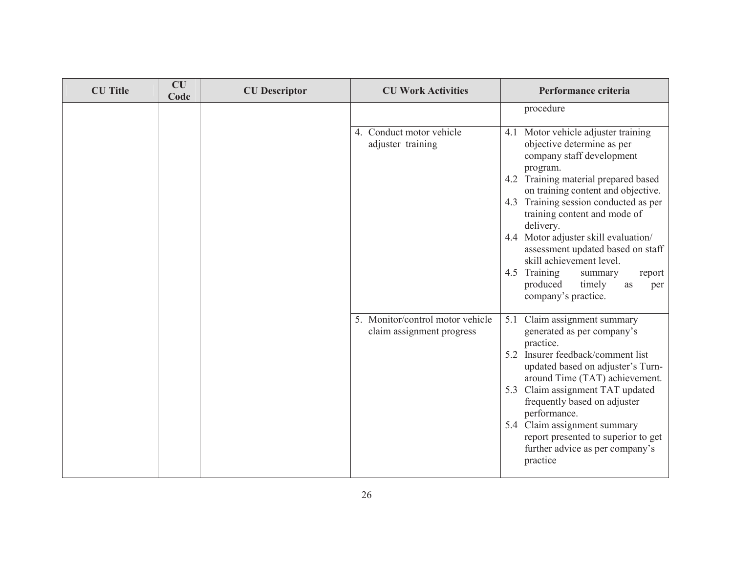| <b>CU</b> Title | CU<br>Code | <b>CU</b> Descriptor | <b>CU Work Activities</b>                                     | Performance criteria                                                                                               |
|-----------------|------------|----------------------|---------------------------------------------------------------|--------------------------------------------------------------------------------------------------------------------|
|                 |            |                      |                                                               | procedure                                                                                                          |
|                 |            |                      | 4. Conduct motor vehicle<br>adjuster training                 | Motor vehicle adjuster training<br>4.1<br>objective determine as per<br>company staff development<br>program.      |
|                 |            |                      |                                                               | 4.2 Training material prepared based<br>on training content and objective.                                         |
|                 |            |                      |                                                               | 4.3 Training session conducted as per<br>training content and mode of<br>delivery.                                 |
|                 |            |                      |                                                               | 4.4 Motor adjuster skill evaluation/<br>assessment updated based on staff<br>skill achievement level.              |
|                 |            |                      |                                                               | 4.5 Training<br>summary<br>report<br>produced<br>timely<br>as<br>per<br>company's practice.                        |
|                 |            |                      | 5. Monitor/control motor vehicle<br>claim assignment progress | Claim assignment summary<br>5.1<br>generated as per company's<br>practice.                                         |
|                 |            |                      |                                                               | 5.2 Insurer feedback/comment list<br>updated based on adjuster's Turn-<br>around Time (TAT) achievement.           |
|                 |            |                      |                                                               | 5.3 Claim assignment TAT updated<br>frequently based on adjuster<br>performance.                                   |
|                 |            |                      |                                                               | 5.4 Claim assignment summary<br>report presented to superior to get<br>further advice as per company's<br>practice |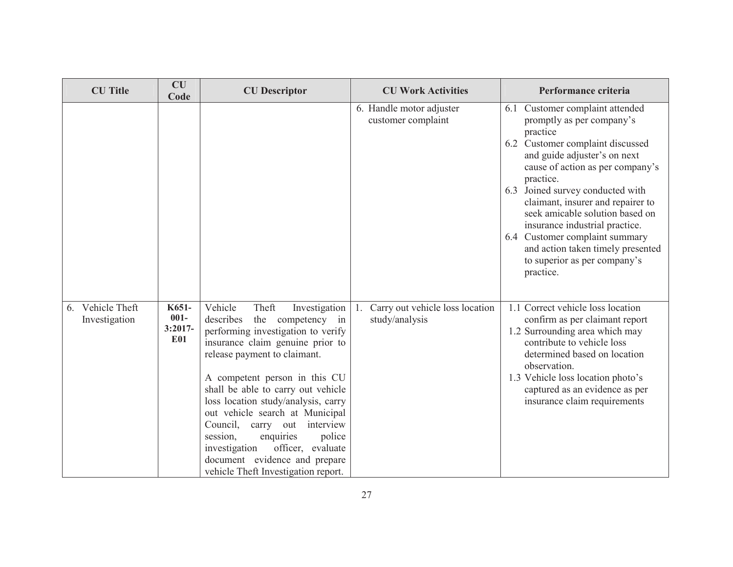| <b>CU</b> Title                      | <b>CU</b><br>Code                           | <b>CU</b> Descriptor                                                                                                                                                                                                                                                                                                                                                                                                                                                                                                     | <b>CU Work Activities</b>                                | Performance criteria                                                                                                                                                                                                                                                                                                                                                                                                                                            |
|--------------------------------------|---------------------------------------------|--------------------------------------------------------------------------------------------------------------------------------------------------------------------------------------------------------------------------------------------------------------------------------------------------------------------------------------------------------------------------------------------------------------------------------------------------------------------------------------------------------------------------|----------------------------------------------------------|-----------------------------------------------------------------------------------------------------------------------------------------------------------------------------------------------------------------------------------------------------------------------------------------------------------------------------------------------------------------------------------------------------------------------------------------------------------------|
|                                      |                                             |                                                                                                                                                                                                                                                                                                                                                                                                                                                                                                                          | 6. Handle motor adjuster<br>customer complaint           | 6.1 Customer complaint attended<br>promptly as per company's<br>practice<br>6.2 Customer complaint discussed<br>and guide adjuster's on next<br>cause of action as per company's<br>practice.<br>6.3 Joined survey conducted with<br>claimant, insurer and repairer to<br>seek amicable solution based on<br>insurance industrial practice.<br>6.4 Customer complaint summary<br>and action taken timely presented<br>to superior as per company's<br>practice. |
| Vehicle Theft<br>6.<br>Investigation | K651-<br>$001 -$<br>$3:2017-$<br><b>E01</b> | Vehicle<br>Theft<br>Investigation<br>describes<br>the competency<br>in<br>performing investigation to verify<br>insurance claim genuine prior to<br>release payment to claimant.<br>A competent person in this CU<br>shall be able to carry out vehicle<br>loss location study/analysis, carry<br>out vehicle search at Municipal<br>Council, carry<br>interview<br>out<br>session,<br>enquiries<br>police<br>investigation<br>officer, evaluate<br>document evidence and prepare<br>vehicle Theft Investigation report. | Carry out vehicle loss location<br>-1.<br>study/analysis | 1.1 Correct vehicle loss location<br>confirm as per claimant report<br>1.2 Surrounding area which may<br>contribute to vehicle loss<br>determined based on location<br>observation.<br>1.3 Vehicle loss location photo's<br>captured as an evidence as per<br>insurance claim requirements                                                                                                                                                                      |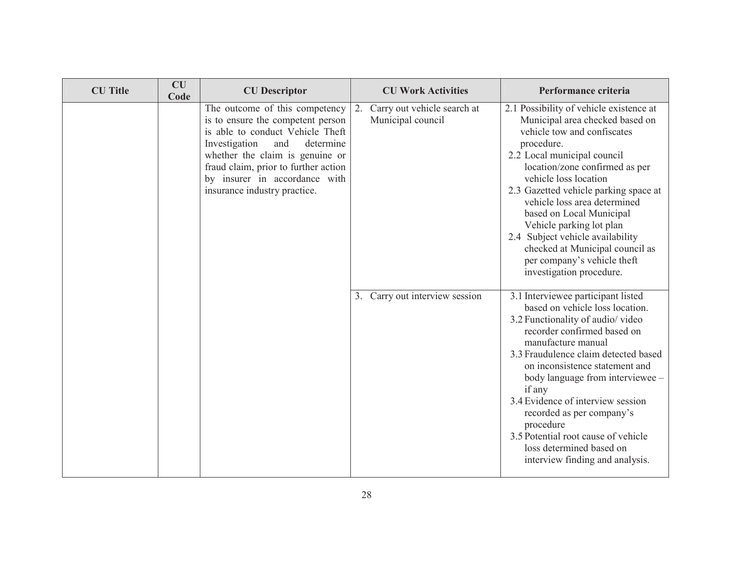| <b>CU</b> Title | <b>CU</b><br>Code | <b>CU</b> Descriptor                                                                                                                                                                                                                                                                     |    | <b>CU Work Activities</b>                        | Performance criteria                                                                                                                                                                                                                                                                                                                                                                                                                                                                 |
|-----------------|-------------------|------------------------------------------------------------------------------------------------------------------------------------------------------------------------------------------------------------------------------------------------------------------------------------------|----|--------------------------------------------------|--------------------------------------------------------------------------------------------------------------------------------------------------------------------------------------------------------------------------------------------------------------------------------------------------------------------------------------------------------------------------------------------------------------------------------------------------------------------------------------|
|                 |                   | The outcome of this competency<br>is to ensure the competent person<br>is able to conduct Vehicle Theft<br>Investigation<br>and<br>determine<br>whether the claim is genuine or<br>fraud claim, prior to further action<br>by insurer in accordance with<br>insurance industry practice. | 2. | Carry out vehicle search at<br>Municipal council | 2.1 Possibility of vehicle existence at<br>Municipal area checked based on<br>vehicle tow and confiscates<br>procedure.<br>2.2 Local municipal council<br>location/zone confirmed as per<br>vehicle loss location<br>2.3 Gazetted vehicle parking space at<br>vehicle loss area determined<br>based on Local Municipal<br>Vehicle parking lot plan<br>2.4 Subject vehicle availability<br>checked at Municipal council as<br>per company's vehicle theft<br>investigation procedure. |
|                 |                   |                                                                                                                                                                                                                                                                                          |    | 3. Carry out interview session                   | 3.1 Interviewee participant listed<br>based on vehicle loss location.<br>3.2 Functionality of audio/video<br>recorder confirmed based on<br>manufacture manual<br>3.3 Fraudulence claim detected based<br>on inconsistence statement and<br>body language from interviewee -<br>if any<br>3.4 Evidence of interview session<br>recorded as per company's<br>procedure<br>3.5 Potential root cause of vehicle<br>loss determined based on<br>interview finding and analysis.          |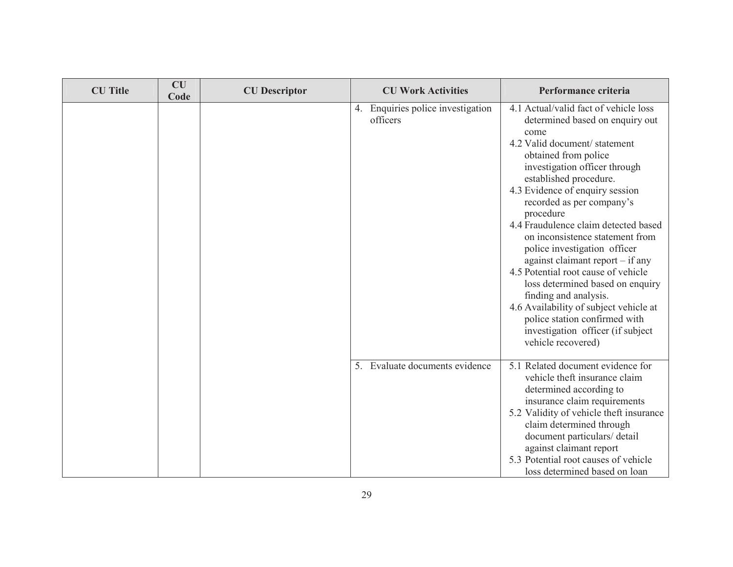| <b>CU</b> Title | <b>CU</b><br>Code | <b>CU</b> Descriptor | <b>CU Work Activities</b>                     | Performance criteria                                                                                                                                                                                                                                                                                                                                                                                                                                                                                                                                                                                                                                                        |
|-----------------|-------------------|----------------------|-----------------------------------------------|-----------------------------------------------------------------------------------------------------------------------------------------------------------------------------------------------------------------------------------------------------------------------------------------------------------------------------------------------------------------------------------------------------------------------------------------------------------------------------------------------------------------------------------------------------------------------------------------------------------------------------------------------------------------------------|
|                 |                   |                      | 4. Enquiries police investigation<br>officers | 4.1 Actual/valid fact of vehicle loss<br>determined based on enquiry out<br>come<br>4.2 Valid document/statement<br>obtained from police<br>investigation officer through<br>established procedure.<br>4.3 Evidence of enquiry session<br>recorded as per company's<br>procedure<br>4.4 Fraudulence claim detected based<br>on inconsistence statement from<br>police investigation officer<br>against claimant report $-$ if any<br>4.5 Potential root cause of vehicle<br>loss determined based on enquiry<br>finding and analysis.<br>4.6 Availability of subject vehicle at<br>police station confirmed with<br>investigation officer (if subject<br>vehicle recovered) |
|                 |                   |                      | Evaluate documents evidence<br>$5_{-}$        | 5.1 Related document evidence for<br>vehicle theft insurance claim<br>determined according to<br>insurance claim requirements<br>5.2 Validity of vehicle theft insurance<br>claim determined through<br>document particulars/ detail<br>against claimant report<br>5.3 Potential root causes of vehicle<br>loss determined based on loan                                                                                                                                                                                                                                                                                                                                    |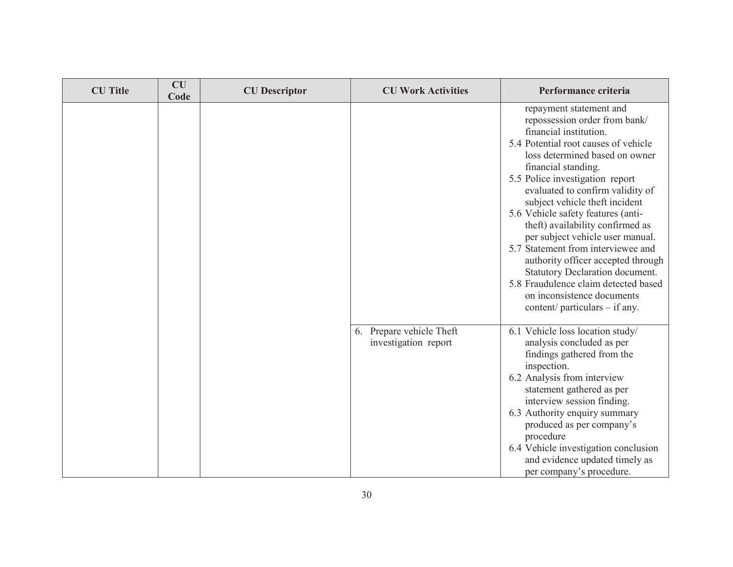| <b>CU</b> Title | CU<br>Code | <b>CU</b> Descriptor | <b>CU Work Activities</b>                        | Performance criteria                                                                                                                                                                                                                                                                                                                                                                                                                                                                                                                                                                                                                |
|-----------------|------------|----------------------|--------------------------------------------------|-------------------------------------------------------------------------------------------------------------------------------------------------------------------------------------------------------------------------------------------------------------------------------------------------------------------------------------------------------------------------------------------------------------------------------------------------------------------------------------------------------------------------------------------------------------------------------------------------------------------------------------|
|                 |            |                      |                                                  | repayment statement and<br>repossession order from bank/<br>financial institution.<br>5.4 Potential root causes of vehicle<br>loss determined based on owner<br>financial standing.<br>5.5 Police investigation report<br>evaluated to confirm validity of<br>subject vehicle theft incident<br>5.6 Vehicle safety features (anti-<br>theft) availability confirmed as<br>per subject vehicle user manual.<br>5.7 Statement from interviewee and<br>authority officer accepted through<br>Statutory Declaration document.<br>5.8 Fraudulence claim detected based<br>on inconsistence documents<br>content/ particulars $-$ if any. |
|                 |            |                      | 6. Prepare vehicle Theft<br>investigation report | 6.1 Vehicle loss location study/<br>analysis concluded as per<br>findings gathered from the<br>inspection.<br>6.2 Analysis from interview<br>statement gathered as per<br>interview session finding.<br>6.3 Authority enquiry summary<br>produced as per company's<br>procedure<br>6.4 Vehicle investigation conclusion<br>and evidence updated timely as<br>per company's procedure.                                                                                                                                                                                                                                               |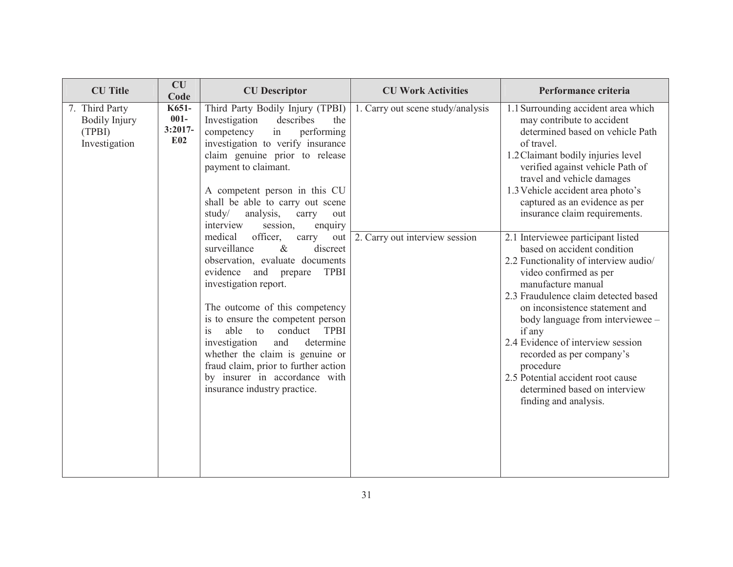| <b>CU</b> Title                                                   | <b>CU</b><br>Code                                | <b>CU</b> Descriptor                                                                                                                                                                                                                                                                                                                                                                                                                                                         | <b>CU Work Activities</b>         | Performance criteria                                                                                                                                                                                                                                                                                                                                                                                                                                             |
|-------------------------------------------------------------------|--------------------------------------------------|------------------------------------------------------------------------------------------------------------------------------------------------------------------------------------------------------------------------------------------------------------------------------------------------------------------------------------------------------------------------------------------------------------------------------------------------------------------------------|-----------------------------------|------------------------------------------------------------------------------------------------------------------------------------------------------------------------------------------------------------------------------------------------------------------------------------------------------------------------------------------------------------------------------------------------------------------------------------------------------------------|
| 7. Third Party<br><b>Bodily Injury</b><br>(TPBI)<br>Investigation | K651-<br>$001 -$<br>$3:2017-$<br>E <sub>02</sub> | Third Party Bodily Injury (TPBI)<br>describes<br>Investigation<br>the<br>in<br>competency<br>performing<br>investigation to verify insurance<br>claim genuine prior to release<br>payment to claimant.<br>A competent person in this CU<br>shall be able to carry out scene<br>study/<br>analysis,<br>carry<br>out<br>interview<br>session,<br>enquiry                                                                                                                       | 1. Carry out scene study/analysis | 1.1 Surrounding accident area which<br>may contribute to accident<br>determined based on vehicle Path<br>of travel.<br>1.2 Claimant bodily injuries level<br>verified against vehicle Path of<br>travel and vehicle damages<br>1.3 Vehicle accident area photo's<br>captured as an evidence as per<br>insurance claim requirements.                                                                                                                              |
|                                                                   |                                                  | officer,<br>medical<br>carry<br>out<br>$\&$<br>discreet<br>surveillance<br>observation, evaluate documents<br>evidence<br>and<br><b>TPBI</b><br>prepare<br>investigation report.<br>The outcome of this competency<br>is to ensure the competent person<br>able<br>conduct TPBI<br>is<br>to<br>investigation<br>and<br>determine<br>whether the claim is genuine or<br>fraud claim, prior to further action<br>by insurer in accordance with<br>insurance industry practice. | 2. Carry out interview session    | 2.1 Interviewee participant listed<br>based on accident condition<br>2.2 Functionality of interview audio/<br>video confirmed as per<br>manufacture manual<br>2.3 Fraudulence claim detected based<br>on inconsistence statement and<br>body language from interviewee -<br>if any<br>2.4 Evidence of interview session<br>recorded as per company's<br>procedure<br>2.5 Potential accident root cause<br>determined based on interview<br>finding and analysis. |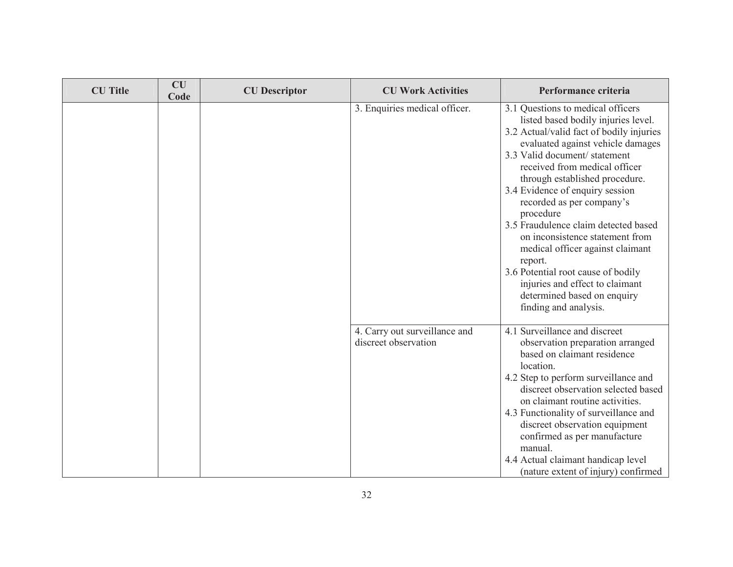| <b>CU</b> Title | <b>CU</b><br>Code | <b>CU</b> Descriptor | <b>CU Work Activities</b>                             | Performance criteria                                                                                                                                                                                                                                                                                                                                                                                                                                                                                                                                                                                 |
|-----------------|-------------------|----------------------|-------------------------------------------------------|------------------------------------------------------------------------------------------------------------------------------------------------------------------------------------------------------------------------------------------------------------------------------------------------------------------------------------------------------------------------------------------------------------------------------------------------------------------------------------------------------------------------------------------------------------------------------------------------------|
|                 |                   |                      | 3. Enquiries medical officer.                         | 3.1 Questions to medical officers<br>listed based bodily injuries level.<br>3.2 Actual/valid fact of bodily injuries<br>evaluated against vehicle damages<br>3.3 Valid document/statement<br>received from medical officer<br>through established procedure.<br>3.4 Evidence of enquiry session<br>recorded as per company's<br>procedure<br>3.5 Fraudulence claim detected based<br>on inconsistence statement from<br>medical officer against claimant<br>report.<br>3.6 Potential root cause of bodily<br>injuries and effect to claimant<br>determined based on enquiry<br>finding and analysis. |
|                 |                   |                      | 4. Carry out surveillance and<br>discreet observation | 4.1 Surveillance and discreet<br>observation preparation arranged<br>based on claimant residence<br>location.<br>4.2 Step to perform surveillance and<br>discreet observation selected based<br>on claimant routine activities.<br>4.3 Functionality of surveillance and<br>discreet observation equipment<br>confirmed as per manufacture<br>manual.<br>4.4 Actual claimant handicap level<br>(nature extent of injury) confirmed                                                                                                                                                                   |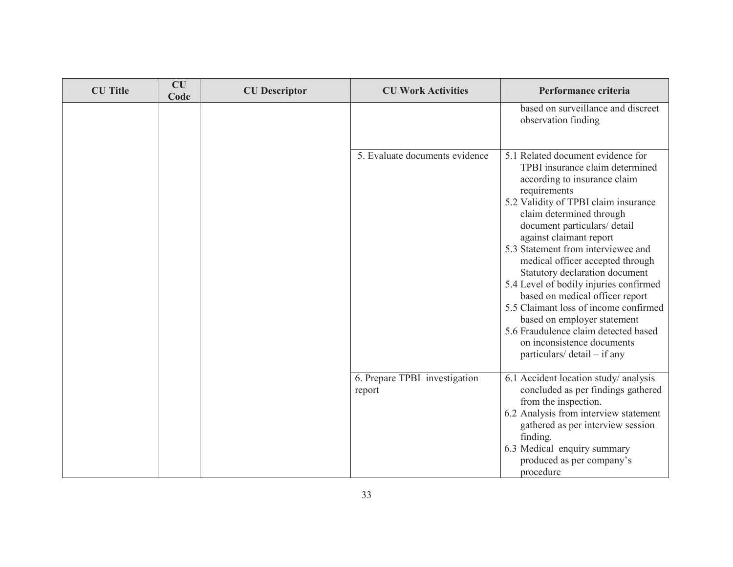| <b>CU</b> Title | CU<br>Code | <b>CU</b> Descriptor | <b>CU Work Activities</b>               | Performance criteria                                                                                                                                                                                                                                                                                                                                                                                                                                                                                                                                                                                                       |
|-----------------|------------|----------------------|-----------------------------------------|----------------------------------------------------------------------------------------------------------------------------------------------------------------------------------------------------------------------------------------------------------------------------------------------------------------------------------------------------------------------------------------------------------------------------------------------------------------------------------------------------------------------------------------------------------------------------------------------------------------------------|
|                 |            |                      |                                         | based on surveillance and discreet<br>observation finding                                                                                                                                                                                                                                                                                                                                                                                                                                                                                                                                                                  |
|                 |            |                      | 5. Evaluate documents evidence          | 5.1 Related document evidence for<br>TPBI insurance claim determined<br>according to insurance claim<br>requirements<br>5.2 Validity of TPBI claim insurance<br>claim determined through<br>document particulars/ detail<br>against claimant report<br>5.3 Statement from interviewee and<br>medical officer accepted through<br>Statutory declaration document<br>5.4 Level of bodily injuries confirmed<br>based on medical officer report<br>5.5 Claimant loss of income confirmed<br>based on employer statement<br>5.6 Fraudulence claim detected based<br>on inconsistence documents<br>particulars/ detail – if any |
|                 |            |                      | 6. Prepare TPBI investigation<br>report | 6.1 Accident location study/ analysis<br>concluded as per findings gathered<br>from the inspection.<br>6.2 Analysis from interview statement<br>gathered as per interview session<br>finding.<br>6.3 Medical enquiry summary<br>produced as per company's<br>procedure                                                                                                                                                                                                                                                                                                                                                     |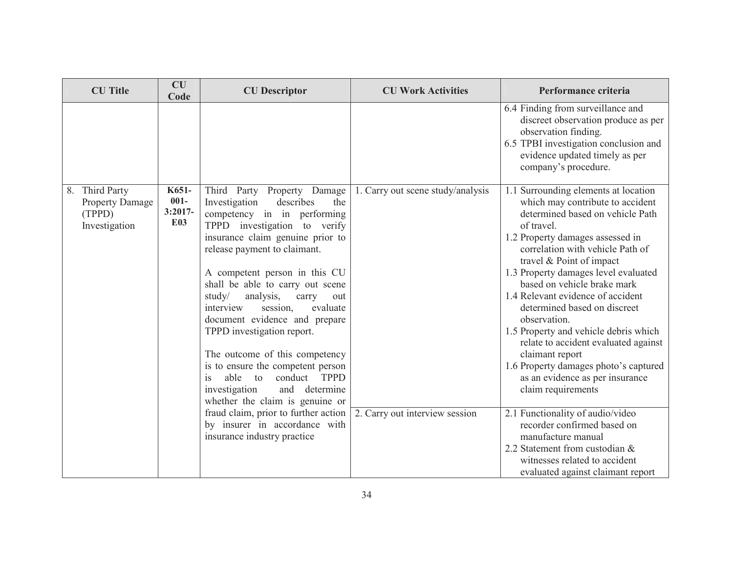| <b>CU</b> Title                                                     | CU<br>Code                                  | <b>CU</b> Descriptor                                                                                                                                                                                                                                                                                                                                                                                                                                                                                                                                                                                                                                                                                           | <b>CU Work Activities</b>                                           | Performance criteria                                                                                                                                                                                                                                                                                                                                                                                                                                                                                                                                                                                                                                                                                                                                                                              |
|---------------------------------------------------------------------|---------------------------------------------|----------------------------------------------------------------------------------------------------------------------------------------------------------------------------------------------------------------------------------------------------------------------------------------------------------------------------------------------------------------------------------------------------------------------------------------------------------------------------------------------------------------------------------------------------------------------------------------------------------------------------------------------------------------------------------------------------------------|---------------------------------------------------------------------|---------------------------------------------------------------------------------------------------------------------------------------------------------------------------------------------------------------------------------------------------------------------------------------------------------------------------------------------------------------------------------------------------------------------------------------------------------------------------------------------------------------------------------------------------------------------------------------------------------------------------------------------------------------------------------------------------------------------------------------------------------------------------------------------------|
|                                                                     |                                             |                                                                                                                                                                                                                                                                                                                                                                                                                                                                                                                                                                                                                                                                                                                |                                                                     | 6.4 Finding from surveillance and<br>discreet observation produce as per<br>observation finding.<br>6.5 TPBI investigation conclusion and<br>evidence updated timely as per<br>company's procedure.                                                                                                                                                                                                                                                                                                                                                                                                                                                                                                                                                                                               |
| 8. Third Party<br><b>Property Damage</b><br>(TPPD)<br>Investigation | K651-<br>$001 -$<br>$3:2017-$<br><b>E03</b> | Third Party Property Damage<br>Investigation<br>describes<br>the<br>competency in in performing<br>TPPD investigation to verify<br>insurance claim genuine prior to<br>release payment to claimant.<br>A competent person in this CU<br>shall be able to carry out scene<br>study/<br>analysis,<br>carry<br>out<br>interview<br>session,<br>evaluate<br>document evidence and prepare<br>TPPD investigation report.<br>The outcome of this competency<br>is to ensure the competent person<br>is<br>conduct TPPD<br>able<br>to<br>investigation<br>determine<br>and<br>whether the claim is genuine or<br>fraud claim, prior to further action<br>by insurer in accordance with<br>insurance industry practice | 1. Carry out scene study/analysis<br>2. Carry out interview session | 1.1 Surrounding elements at location<br>which may contribute to accident<br>determined based on vehicle Path<br>of travel.<br>1.2 Property damages assessed in<br>correlation with vehicle Path of<br>travel & Point of impact<br>1.3 Property damages level evaluated<br>based on vehicle brake mark<br>1.4 Relevant evidence of accident<br>determined based on discreet<br>observation.<br>1.5 Property and vehicle debris which<br>relate to accident evaluated against<br>claimant report<br>1.6 Property damages photo's captured<br>as an evidence as per insurance<br>claim requirements<br>2.1 Functionality of audio/video<br>recorder confirmed based on<br>manufacture manual<br>2.2 Statement from custodian &<br>witnesses related to accident<br>evaluated against claimant report |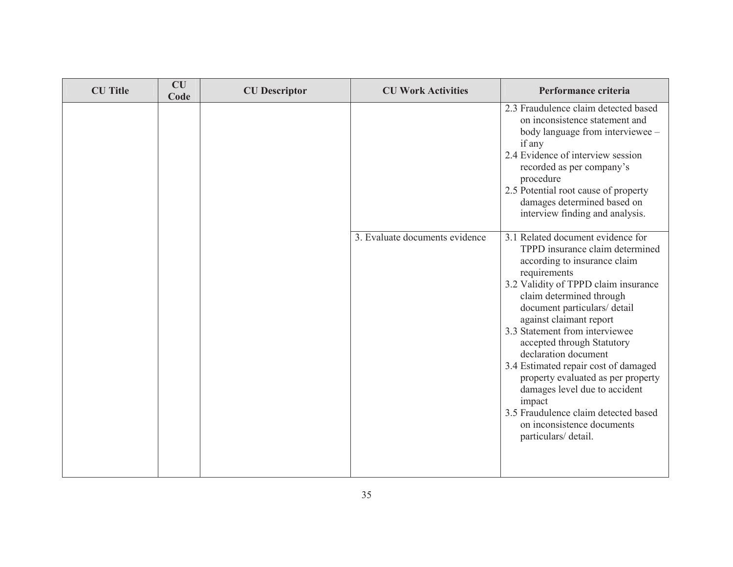| <b>CU</b> Title | CU<br>Code | <b>CU</b> Descriptor | <b>CU Work Activities</b>      | Performance criteria                                                                                                                                                                                                                                                                                                                                                                                                                                                                                                                                              |
|-----------------|------------|----------------------|--------------------------------|-------------------------------------------------------------------------------------------------------------------------------------------------------------------------------------------------------------------------------------------------------------------------------------------------------------------------------------------------------------------------------------------------------------------------------------------------------------------------------------------------------------------------------------------------------------------|
|                 |            |                      |                                | 2.3 Fraudulence claim detected based<br>on inconsistence statement and<br>body language from interviewee -<br>if any<br>2.4 Evidence of interview session<br>recorded as per company's<br>procedure<br>2.5 Potential root cause of property<br>damages determined based on<br>interview finding and analysis.                                                                                                                                                                                                                                                     |
|                 |            |                      | 3. Evaluate documents evidence | 3.1 Related document evidence for<br>TPPD insurance claim determined<br>according to insurance claim<br>requirements<br>3.2 Validity of TPPD claim insurance<br>claim determined through<br>document particulars/ detail<br>against claimant report<br>3.3 Statement from interviewee<br>accepted through Statutory<br>declaration document<br>3.4 Estimated repair cost of damaged<br>property evaluated as per property<br>damages level due to accident<br>impact<br>3.5 Fraudulence claim detected based<br>on inconsistence documents<br>particulars/detail. |